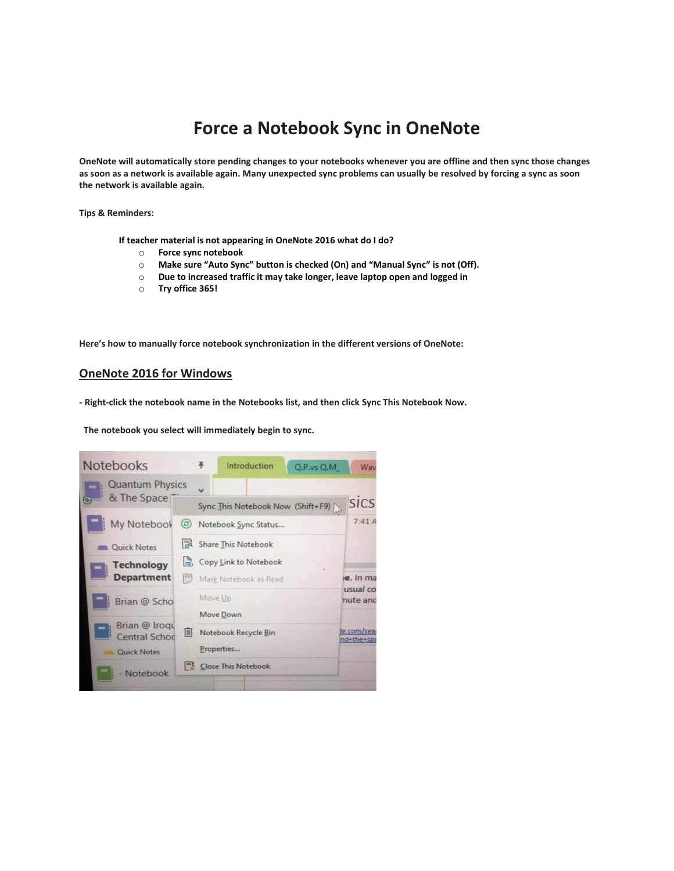## **Force a Notebook Sync in OneNote**

**OneNote will automatically store pending changes to your notebooks whenever you are offline and then sync those changes as soon as a network is available again. Many unexpected sync problems can usually be resolved by forcing a sync as soon the network is available again.**

**Tips & Reminders:**

**If teacher material is not appearing in OneNote 2016 what do I do?**

- o **Force sync notebook**
- o **Make sure "Auto Sync" button is checked (On) and "Manual Sync" is not (Off).**
- o **Due to increased traffic it may take longer, leave laptop open and logged in**
- o **Try office 365!**

**Here's how to manually force notebook synchronization in the different versions of OneNote:**

## **OneNote 2016 for Windows**

**- Right-click the notebook name in the Notebooks list, and then click Sync This Notebook Now.**

 **The notebook you select will immediately begin to sync.**

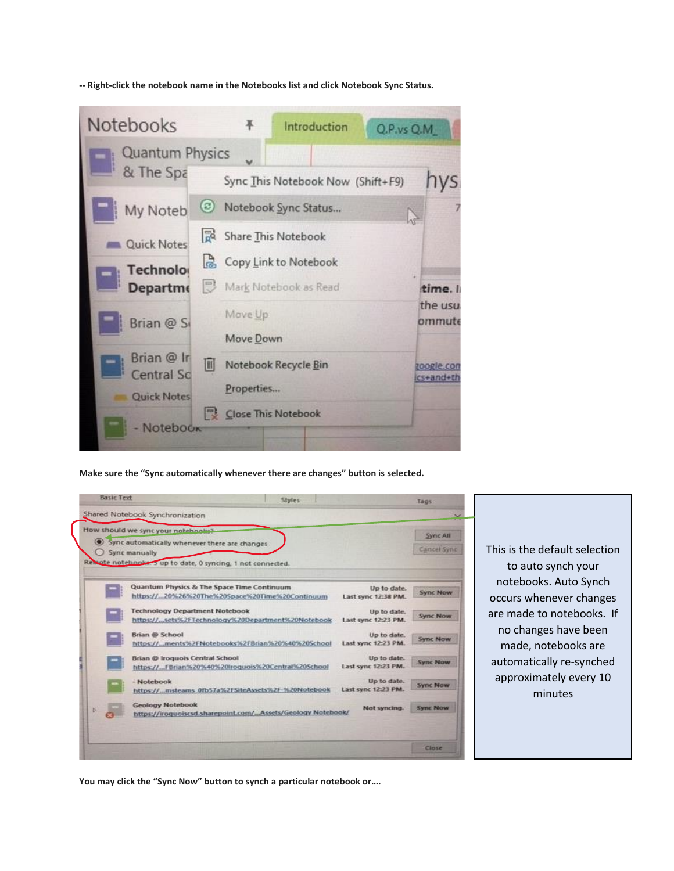**-- Right-click the notebook name in the Notebooks list and click Notebook Sync Status.**



**Make sure the "Sync automatically whenever there are changes" button is selected.**



This is the default selection to auto synch your notebooks. Auto Synch occurs whenever changes are made to notebooks. If no changes have been made, notebooks are automatically re-synched approximately every 10 minutes

**You may click the "Sync Now" button to synch a particular notebook or….**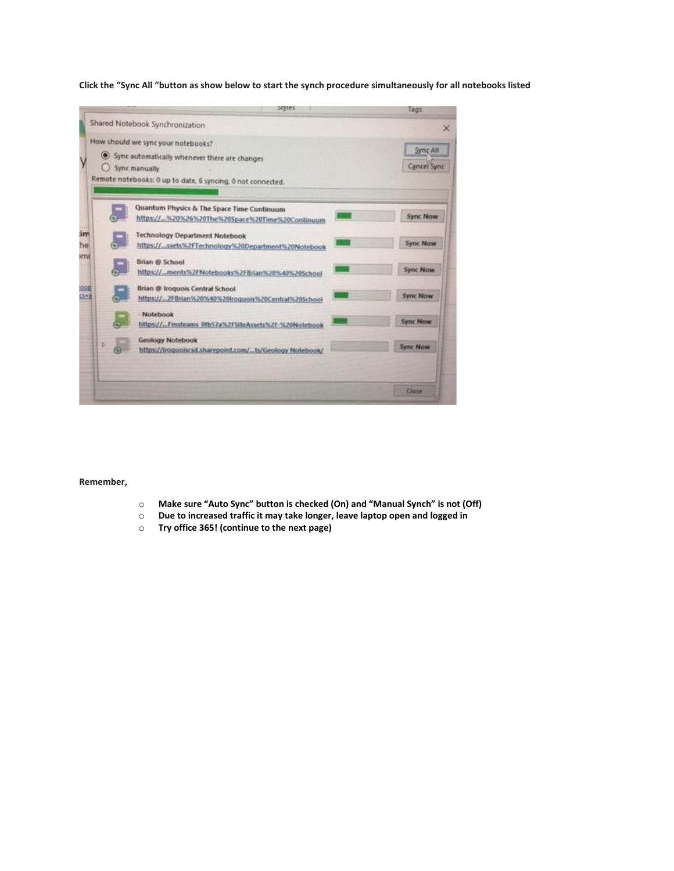**Click the "Sync All "button as show below to start the synch procedure simultaneously for all notebooks listed**



## **Remember,**

- o **Make sure "Auto Sync" button is checked (On) and "Manual Synch" is not (Off)**
- o **Due to increased traffic it may take longer, leave laptop open and logged in**
- o **Try office 365! (continue to the next page)**